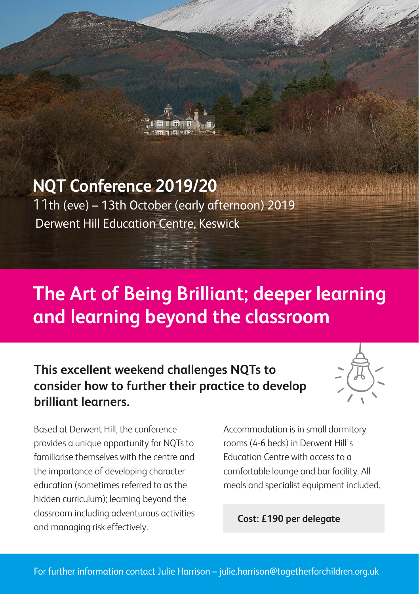

### **NQT Conference 2019/20**

11th (eve) – 13th October (early afternoon) 2019 Derwent Hill Education Centre, Keswick

### **The Art of Being Brilliant; deeper learning and learning beyond the classroom**

**This excellent weekend challenges NQTs to consider how to further their practice to develop brilliant learners.**



Based at Derwent Hill, the conference provides a unique opportunity for NQTs to familiarise themselves with the centre and the importance of developing character education (sometimes referred to as the hidden curriculum); learning beyond the classroom including adventurous activities and managing risk effectively.

Accommodation is in small dormitory rooms (4-6 beds) in Derwent Hill's Education Centre with access to a comfortable lounge and bar facility. All meals and specialist equipment included.

**Cost: £190 per delegate**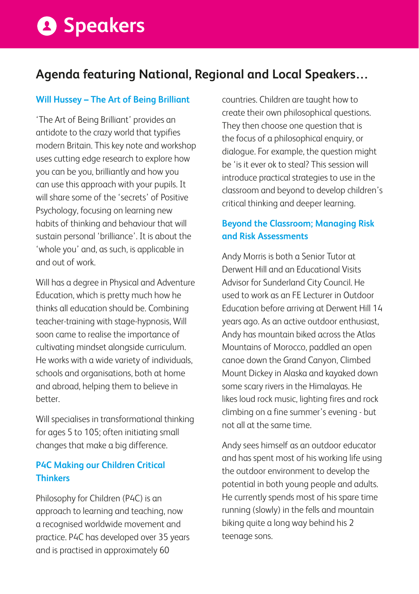# **A** Speakers

### **Agenda featuring National, Regional and Local Speakers…**

#### **Will Hussey – The Art of Being Brilliant**

'The Art of Being Brilliant' provides an antidote to the crazy world that typifies modern Britain. This key note and workshop uses cutting edge research to explore how you can be you, brilliantly and how you can use this approach with your pupils. It will share some of the 'secrets' of Positive Psychology, focusing on learning new habits of thinking and behaviour that will sustain personal 'brilliance'. It is about the 'whole you' and, as such, is applicable in and out of work.

Will has a degree in Physical and Adventure Education, which is pretty much how he thinks all education should be. Combining teacher-training with stage-hypnosis, Will soon came to realise the importance of cultivating mindset alongside curriculum. He works with a wide variety of individuals, schools and organisations, both at home and abroad, helping them to believe in better.

Will specialises in transformational thinking for ages 5 to 105; often initiating small changes that make a big difference.

#### **P4C Making our Children Critical Thinkers**

Philosophy for Children (P4C) is an approach to learning and teaching, now a recognised worldwide movement and practice. P4C has developed over 35 years and is practised in approximately 60

countries. Children are taught how to create their own philosophical questions. They then choose one question that is the focus of a philosophical enquiry, or dialogue. For example, the question might be 'is it ever ok to steal? This session will introduce practical strategies to use in the classroom and beyond to develop children's critical thinking and deeper learning.

#### **Beyond the Classroom; Managing Risk and Risk Assessments**

Andy Morris is both a Senior Tutor at Derwent Hill and an Educational Visits Advisor for Sunderland City Council. He used to work as an FE Lecturer in Outdoor Education before arriving at Derwent Hill 14 years ago. As an active outdoor enthusiast, Andy has mountain biked across the Atlas Mountains of Morocco, paddled an open canoe down the Grand Canyon, Climbed Mount Dickey in Alaska and kayaked down some scary rivers in the Himalayas. He likes loud rock music, lighting fires and rock climbing on a fine summer's evening - but not all at the same time.

Andy sees himself as an outdoor educator and has spent most of his working life using the outdoor environment to develop the potential in both young people and adults. He currently spends most of his spare time running (slowly) in the fells and mountain biking quite a long way behind his 2 teenage sons.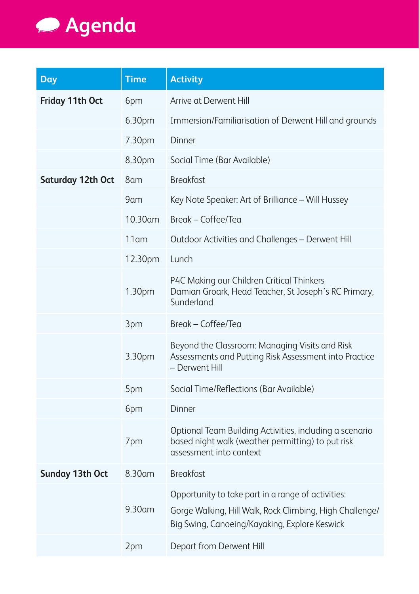

| Day               | <b>Time</b> | <b>Activity</b>                                                                                                                                                 |
|-------------------|-------------|-----------------------------------------------------------------------------------------------------------------------------------------------------------------|
| Friday 11th Oct   | 6pm         | Arrive at Derwent Hill                                                                                                                                          |
|                   | 6.30pm      | Immersion/Familiarisation of Derwent Hill and grounds                                                                                                           |
|                   | 7.30pm      | Dinner                                                                                                                                                          |
|                   | 8.30pm      | Social Time (Bar Available)                                                                                                                                     |
| Saturday 12th Oct | 8am         | <b>Breakfast</b>                                                                                                                                                |
|                   | 9am         | Key Note Speaker: Art of Brilliance - Will Hussey                                                                                                               |
|                   | $10.30$ am  | Break – Coffee/Tea                                                                                                                                              |
|                   | $11$ am     | Outdoor Activities and Challenges - Derwent Hill                                                                                                                |
|                   | 12.30pm     | Lunch                                                                                                                                                           |
|                   | 1.30pm      | P4C Making our Children Critical Thinkers<br>Damian Groark, Head Teacher, St Joseph's RC Primary,<br>Sunderland                                                 |
|                   | 3pm         | Break – Coffee/Tea                                                                                                                                              |
|                   | 3.30pm      | Beyond the Classroom: Managing Visits and Risk<br>Assessments and Putting Risk Assessment into Practice<br>- Derwent Hill                                       |
|                   | 5pm         | Social Time/Reflections (Bar Available)                                                                                                                         |
|                   | 6pm         | Dinner                                                                                                                                                          |
|                   | 7pm         | Optional Team Building Activities, including a scenario<br>based night walk (weather permitting) to put risk<br>assessment into context                         |
| Sunday 13th Oct   | 8.30am      | <b>Breakfast</b>                                                                                                                                                |
|                   | 9.30am      | Opportunity to take part in a range of activities:<br>Gorge Walking, Hill Walk, Rock Climbing, High Challenge/<br>Big Swing, Canoeing/Kayaking, Explore Keswick |
|                   | 2pm         | Depart from Derwent Hill                                                                                                                                        |